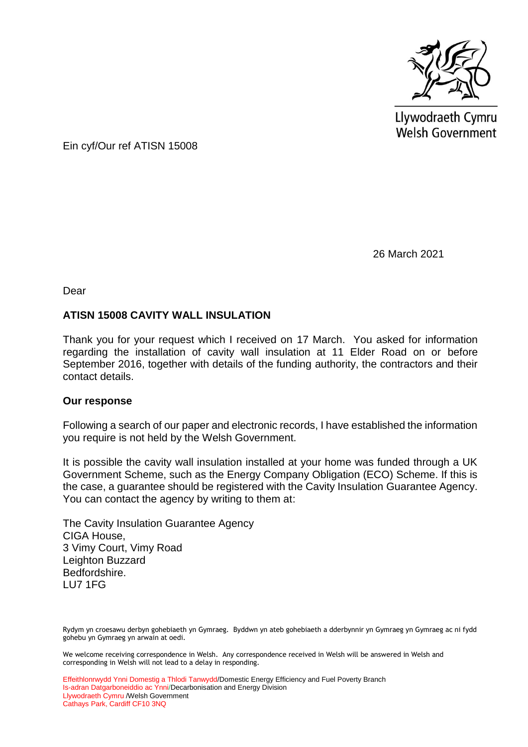

Llywodraeth Cymru **Welsh Government** 

Ein cyf/Our ref ATISN 15008

26 March 2021

Dear

## **ATISN 15008 CAVITY WALL INSULATION**

Thank you for your request which I received on 17 March. You asked for information regarding the installation of cavity wall insulation at 11 Elder Road on or before September 2016, together with details of the funding authority, the contractors and their contact details.

## **Our response**

Following a search of our paper and electronic records, I have established the information you require is not held by the Welsh Government.

It is possible the cavity wall insulation installed at your home was funded through a UK Government Scheme, such as the Energy Company Obligation (ECO) Scheme. If this is the case, a guarantee should be registered with the Cavity Insulation Guarantee Agency. You can contact the agency by writing to them at:

The Cavity Insulation Guarantee Agency CIGA House, 3 Vimy Court, Vimy Road Leighton Buzzard Bedfordshire. LU7 1FG

Rydym yn croesawu derbyn gohebiaeth yn Gymraeg. Byddwn yn ateb gohebiaeth a dderbynnir yn Gymraeg yn Gymraeg ac ni fydd gohebu yn Gymraeg yn arwain at oedi.

We welcome receiving correspondence in Welsh. Any correspondence received in Welsh will be answered in Welsh and corresponding in Welsh will not lead to a delay in responding.

Effeithlonrwydd Ynni Domestig a Thlodi Tanwydd/Domestic Energy Efficiency and Fuel Poverty Branch Is-adran Datgarboneiddio ac Ynni/Decarbonisation and Energy Division Llywodraeth Cymru /Welsh Government Cathays Park, Cardiff CF10 3NQ